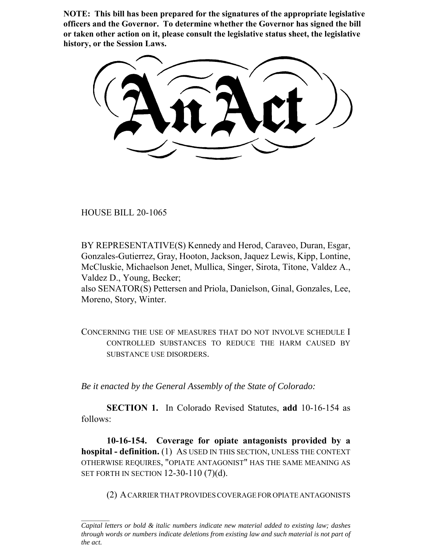**NOTE: This bill has been prepared for the signatures of the appropriate legislative officers and the Governor. To determine whether the Governor has signed the bill or taken other action on it, please consult the legislative status sheet, the legislative history, or the Session Laws.**

HOUSE BILL 20-1065

BY REPRESENTATIVE(S) Kennedy and Herod, Caraveo, Duran, Esgar, Gonzales-Gutierrez, Gray, Hooton, Jackson, Jaquez Lewis, Kipp, Lontine, McCluskie, Michaelson Jenet, Mullica, Singer, Sirota, Titone, Valdez A., Valdez D., Young, Becker;

also SENATOR(S) Pettersen and Priola, Danielson, Ginal, Gonzales, Lee, Moreno, Story, Winter.

CONCERNING THE USE OF MEASURES THAT DO NOT INVOLVE SCHEDULE I CONTROLLED SUBSTANCES TO REDUCE THE HARM CAUSED BY SUBSTANCE USE DISORDERS.

*Be it enacted by the General Assembly of the State of Colorado:*

**SECTION 1.** In Colorado Revised Statutes, **add** 10-16-154 as follows:

**10-16-154. Coverage for opiate antagonists provided by a hospital - definition.** (1) AS USED IN THIS SECTION, UNLESS THE CONTEXT OTHERWISE REQUIRES, "OPIATE ANTAGONIST" HAS THE SAME MEANING AS SET FORTH IN SECTION 12-30-110 (7)(d).

(2) A CARRIER THAT PROVIDES COVERAGE FOR OPIATE ANTAGONISTS

*Capital letters or bold & italic numbers indicate new material added to existing law; dashes through words or numbers indicate deletions from existing law and such material is not part of the act.*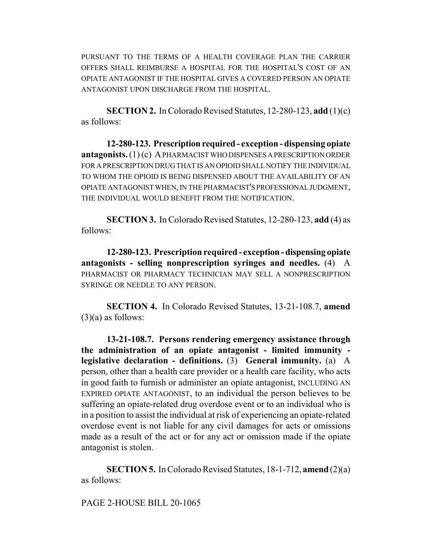PURSUANT TO THE TERMS OF A HEALTH COVERAGE PLAN THE CARRIER OFFERS SHALL REIMBURSE A HOSPITAL FOR THE HOSPITAL'S COST OF AN OPIATE ANTAGONIST IF THE HOSPITAL GIVES A COVERED PERSON AN OPIATE ANTAGONIST UPON DISCHARGE FROM THE HOSPITAL.

**SECTION 2.** In Colorado Revised Statutes, 12-280-123, **add** (1)(c) as follows:

**12-280-123. Prescription required - exception - dispensing opiate antagonists.** (1) (c) A PHARMACIST WHO DISPENSES A PRESCRIPTION ORDER FOR A PRESCRIPTION DRUG THAT IS AN OPIOID SHALL NOTIFY THE INDIVIDUAL TO WHOM THE OPIOID IS BEING DISPENSED ABOUT THE AVAILABILITY OF AN OPIATE ANTAGONIST WHEN, IN THE PHARMACIST'S PROFESSIONAL JUDGMENT, THE INDIVIDUAL WOULD BENEFIT FROM THE NOTIFICATION.

**SECTION 3.** In Colorado Revised Statutes, 12-280-123, **add** (4) as follows:

**12-280-123. Prescription required - exception - dispensing opiate antagonists - selling nonprescription syringes and needles.** (4) A PHARMACIST OR PHARMACY TECHNICIAN MAY SELL A NONPRESCRIPTION SYRINGE OR NEEDLE TO ANY PERSON.

**SECTION 4.** In Colorado Revised Statutes, 13-21-108.7, **amend**  $(3)(a)$  as follows:

**13-21-108.7. Persons rendering emergency assistance through the administration of an opiate antagonist - limited immunity legislative declaration - definitions.** (3) **General immunity.** (a) A person, other than a health care provider or a health care facility, who acts in good faith to furnish or administer an opiate antagonist, INCLUDING AN EXPIRED OPIATE ANTAGONIST, to an individual the person believes to be suffering an opiate-related drug overdose event or to an individual who is in a position to assist the individual at risk of experiencing an opiate-related overdose event is not liable for any civil damages for acts or omissions made as a result of the act or for any act or omission made if the opiate antagonist is stolen.

**SECTION 5.** In Colorado Revised Statutes, 18-1-712, **amend** (2)(a) as follows:

PAGE 2-HOUSE BILL 20-1065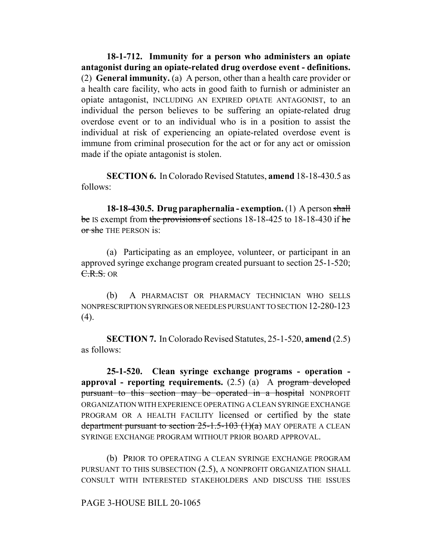**18-1-712. Immunity for a person who administers an opiate antagonist during an opiate-related drug overdose event - definitions.** (2) **General immunity.** (a) A person, other than a health care provider or a health care facility, who acts in good faith to furnish or administer an opiate antagonist, INCLUDING AN EXPIRED OPIATE ANTAGONIST, to an individual the person believes to be suffering an opiate-related drug overdose event or to an individual who is in a position to assist the individual at risk of experiencing an opiate-related overdose event is immune from criminal prosecution for the act or for any act or omission made if the opiate antagonist is stolen.

**SECTION 6.** In Colorado Revised Statutes, **amend** 18-18-430.5 as follows:

**18-18-430.5. Drug paraphernalia - exemption.** (1) A person shall be IS exempt from the provisions of sections 18-18-425 to 18-18-430 if he or she THE PERSON is:

(a) Participating as an employee, volunteer, or participant in an approved syringe exchange program created pursuant to section 25-1-520; C.R.S. OR

(b) A PHARMACIST OR PHARMACY TECHNICIAN WHO SELLS NONPRESCRIPTION SYRINGES OR NEEDLES PURSUANT TO SECTION 12-280-123  $(4)$ .

**SECTION 7.** In Colorado Revised Statutes, 25-1-520, **amend** (2.5) as follows:

**25-1-520. Clean syringe exchange programs - operation approval - reporting requirements.** (2.5) (a) A program developed pursuant to this section may be operated in a hospital NONPROFIT ORGANIZATION WITH EXPERIENCE OPERATING A CLEAN SYRINGE EXCHANGE PROGRAM OR A HEALTH FACILITY licensed or certified by the state department pursuant to section  $25$ -1.5-103 (1)(a)</del> MAY OPERATE A CLEAN SYRINGE EXCHANGE PROGRAM WITHOUT PRIOR BOARD APPROVAL.

(b) PRIOR TO OPERATING A CLEAN SYRINGE EXCHANGE PROGRAM PURSUANT TO THIS SUBSECTION (2.5), A NONPROFIT ORGANIZATION SHALL CONSULT WITH INTERESTED STAKEHOLDERS AND DISCUSS THE ISSUES

PAGE 3-HOUSE BILL 20-1065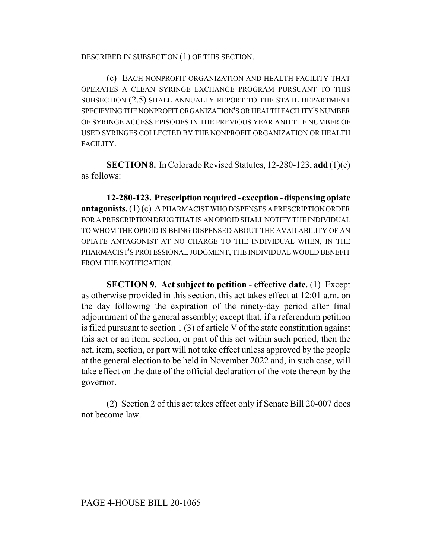DESCRIBED IN SUBSECTION (1) OF THIS SECTION.

(c) EACH NONPROFIT ORGANIZATION AND HEALTH FACILITY THAT OPERATES A CLEAN SYRINGE EXCHANGE PROGRAM PURSUANT TO THIS SUBSECTION (2.5) SHALL ANNUALLY REPORT TO THE STATE DEPARTMENT SPECIFYING THE NONPROFIT ORGANIZATION'S OR HEALTH FACILITY'S NUMBER OF SYRINGE ACCESS EPISODES IN THE PREVIOUS YEAR AND THE NUMBER OF USED SYRINGES COLLECTED BY THE NONPROFIT ORGANIZATION OR HEALTH FACILITY.

**SECTION 8.** In Colorado Revised Statutes, 12-280-123, **add** (1)(c) as follows:

**12-280-123. Prescription required - exception - dispensing opiate antagonists.** (1) (c) A PHARMACIST WHO DISPENSES A PRESCRIPTION ORDER FOR A PRESCRIPTION DRUG THAT IS AN OPIOID SHALL NOTIFY THE INDIVIDUAL TO WHOM THE OPIOID IS BEING DISPENSED ABOUT THE AVAILABILITY OF AN OPIATE ANTAGONIST AT NO CHARGE TO THE INDIVIDUAL WHEN, IN THE PHARMACIST'S PROFESSIONAL JUDGMENT, THE INDIVIDUAL WOULD BENEFIT FROM THE NOTIFICATION.

**SECTION 9. Act subject to petition - effective date.** (1) Except as otherwise provided in this section, this act takes effect at 12:01 a.m. on the day following the expiration of the ninety-day period after final adjournment of the general assembly; except that, if a referendum petition is filed pursuant to section 1 (3) of article V of the state constitution against this act or an item, section, or part of this act within such period, then the act, item, section, or part will not take effect unless approved by the people at the general election to be held in November 2022 and, in such case, will take effect on the date of the official declaration of the vote thereon by the governor.

(2) Section 2 of this act takes effect only if Senate Bill 20-007 does not become law.